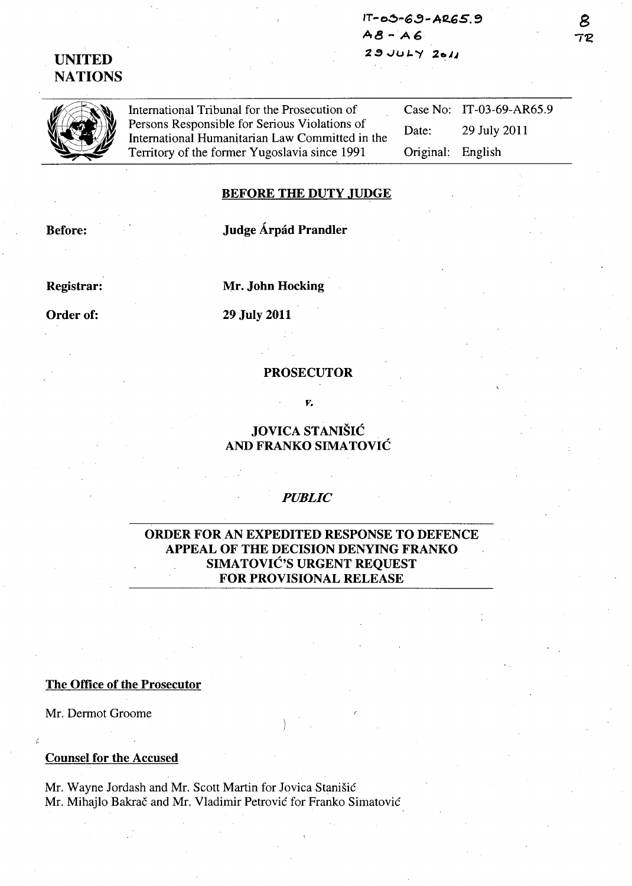$IT-03-69-ABC5.9$ **A8 - A6 2'!}')uL.'1** 2~JJ

# **UNITED NATIONS**

International Tribunal for the Prosecution of Persons Responsible for Serious Violations of International Humanitarian Law Committed in the Territory of the former Yugoslavia since 1991

Case No: IT-03-69-AR65.9 Date: 29 July 2011 Original: English

#### **BEFORE THE DUTY JUDGE**

**Before:** 

# **Judge Arpad Prandler**

**Registrar:** 

**Mr. John Hocking** 

**Order of:** 

## **29 July 2011**

#### **PROSECUTOR**

*v.* 

## **JOVICA STANISIC AND FRANKO SIMATOVIC**

#### *PUBLIC*

## **ORI)ER FORAN EXPEDITED RESPONSE TO DEFENCE APPEAL OF THE DECISION DENYING FRANKO SIMATOVIC'S URGENT REQUEST FOR PROVISIONAL RELEASE**

#### **The Office of the Prosecutor**

Mr. Dermot Groome

## **Counsel for the Accused**

Mr. Wayne Jordash and Mr. Scott Martin for Jovica Stanišić Mr. Mihajlo Bakrač and Mr. Vladimir Petrović for Franko Simatović

B **7'£**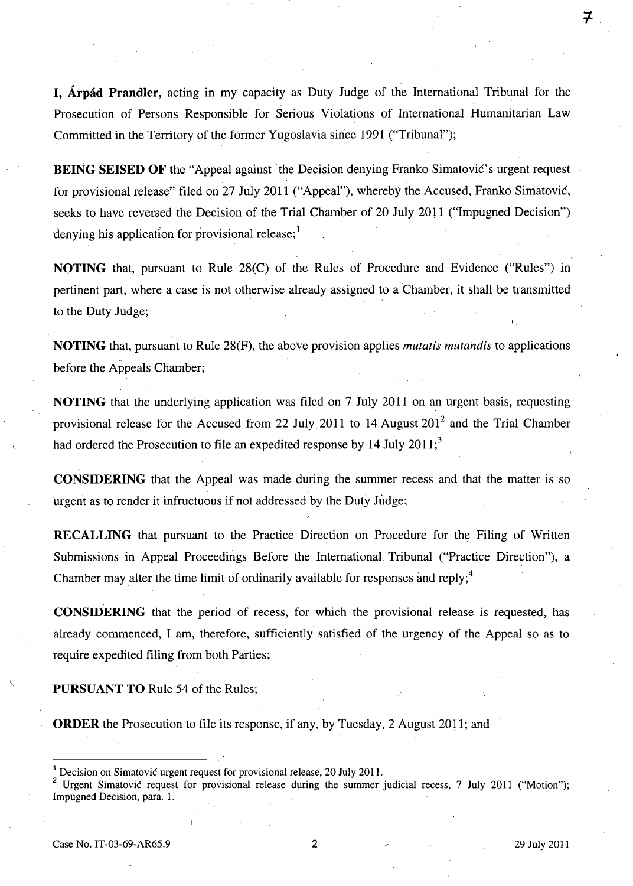**I, Arpad Prandler,** acting in my capacity as Duty Judge of the International Tribunal for the Prosecution of Persons Responsible for Serious Violations of International Humanitarian Law Committed in the Territory of the former Yugoslavia since 1991 ("Tribunal");

**BEING SEISED OF** the "Appeal against the Decision denying Franko Simatovic's urgent request . for provisional release" filed on 27 July 2011 ("Appeal"), whereby the Accused, Franko Simatovic, seeks to have reversed the Decision of the Trial Chamber of 20 July 2011 ("Impugned Decision") denying his application for provisional release; $<sup>1</sup>$ </sup>

**NOTING** that, pursuant to Rule 28(C) of the Rules of Procedure and Evidence ("Rules") in pertinent part, where a case is not otherwise already assigned to a Chamber, it shall be transmitted to the Duty Judge;

**NOTING** that, pursuant to Rule 28(F), the above provision applies *mutatis mutandis* to applications before the Appeals Chamber;

**NOTING** that the underlying application was filed on 7 July 2011 on an urgent basis, requesting provisional release for the Accused from 22 July 2011 to 14 August  $201<sup>2</sup>$  and the Trial Chamber had ordered the Prosecution to file an expedited response by 14 July 2011;<sup>3</sup>

**CONSIDERING** that the Appeal was made during the summer recess and that the matter is so urgent as to render it infructuous if not addressed by the Duty Judge;

**RECALLING** that pursuant to the Practice Direction on Procedure for the Filing of Written Submissions in Appeal Proceedings Before the International Tribunal ("Practice Direction"), a Chamber may alter the time limit of ordinarily available for responses and reply;<sup>4</sup>

**CONSIDERING** that the period of recess, for which the provisional release is requested, has already commenced, I am, therefore, sufficiently satisfied of the urgency of the Appeal so as to require expedited filing from both Parties;

**PURSUANT TO** Rule 54 of the Rules;

**ORDER** the Prosecution to file its response, if any, by Tuesday, 2 August 2011; and

Urgent Simatovic request for provisional release during the summer judicial recess, 7 July 2011 ("Motion"); Impugned Decision, para. 1.

7

<sup>1</sup> Decision on Simatovic urgent request for provisional release, 20 July 2011.